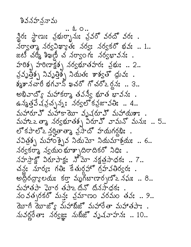$.20.2.$ న్ధిర: స్థాణు: వ్రభుర్భాను: వ్రవరొ వరదొ వర: .  $\lambda$ ర్వాతాశై నర్వవిఖ్యాతః నర్వః నర్వకర్ భవః .. 1.. జటీ చర్మీ శిఖణీ చ నర్వాంగః నర్వభావనః . హరిశ్చ హరిణాక్షశ్చ నర్వభూతహరః వ్రభుః .. 2.. వ్రవృత్తిక్స నివృత్తిక్స్తో నియతః శాశ్వతో ధ్రువః . శ్మశానచారీ భగవాన్ ఖచరో గోచరోఽర్దనః .. ౩.. అభివాద్యో మహాకర్మా తవన్వీ భూత భావనః . ఉన్నత్త్వేష వ్రచ్ఛన్న: నర్వలో కవ్రజావతి: .. 4.. మహారూ ఏ మహాకా యో వృషరూ J మహాయశాః. మహాఽ౽ తా నర్వభూతశ్చ విరూహి వామనో మనుః.. 5.. లో కపాలోఽ న్లర్హైత్మా వ్రసాదో హయగర్గఫిః .  $\Delta$ విత్రశ్న మహాం క్నైవ నియమో నియమాశ్రయ .. 6..  $\lambda$ ర్వకరాశ న్వయం భూశ్చాదిరాదికరో నిధి:.  $\Delta$ హస్తాక్లో విరూపాక్షం నోమో నక్షత్రసాధకం .. 7.. చన్ల: నూర్య: గతి: కేతుర్గహ్ గ్రహవతిర్వర:. అద్దరద్రాలయ: కర్తా మృగజాణార్చణ్ని నమ: .. 8.. మహాతపా ఘోర తపాఽదినో దినసాధకః నం వత్సరకరో మన్తః వ్రమాణం వరమం తవః .. 9.. యోగీ యోజ్యో మహాబిజో మహారేతా మహాతపా:. నువర్ణరేతా: నర్వజ్ఞ: నుబీజో వృషవాహన: .. 10..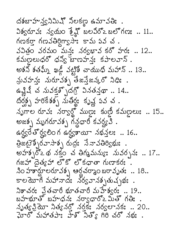దశబాహన్వనిమిష్ నిలకణ్ణ ఉమావతిః.  $3$ శ్వరూవ: న్యమం శ్రేష్ణో బలవీరో2 బలోగణ: .. 11.. noso nosagnga: 52 52 52. వవిత్రం వరమం మన్య నర్వభావ కరో హర: .. 12.. కమణలుధరో ధన్యో బాణహన్య: కపాలవాన్ . అశని శతమ్నీ ఖడ్జీ వట్టిశీ చాయుధి మహాన్ .. 13.. న్లువహన్త: నురూవశ్చ తేజన్తేజన్కరో నిధి: . ఉన్లివే చ నువక్తశ్చోదగ్రో వినతన్తథా .. 14.. దర్శ్న హరికేశశ్చ నుతీర్థః కృష్ణ వివ చ. నృగాల రూవః నర్వార్థో ముణ్ణః కుణ్ణీ కమణ్ణలుః .. 15.. అజక్స్త మృగరూవక్స్త గన్ధధారీ కవర్య వి. கஜ் $3$  மீஜ்ல் க்ஜுவு க்ஷ்ஜ்: .. 16.. இகது ஜில்சுச்தி முது கீசுக்கேஜ் . అహశ్చర్డే థ నక్తం చ తిగ్మమన్యః నువర్ననః .. 17.. గజహ్దెత్కహా లొకో లొకధాతా గుణాకర: ..  $30.3$ తార్గులరూవశ్చ ఆర్ధచర్మాంబరావృత: .. 18.. కాలయోగే మహానాదేః నర్వవానశ్చతుచ్చుంః. నిశాచర: ప్రతచారీ భూతచారీ మహేశ్వర: .. 19.. బహళూతో బహదన: నర్వధార్2 మితో గతి: . నృత్య క్రియో నిత్య నర్తో నర్తకే నర్వలానక: .. 20.. హెర్మహాతపాః హేశ్ సేత్వ గల చర్ నభః .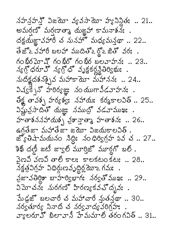నహన్రహన్తో విజయో వ్యవసాయో హ్యానిన్లీతః .. 21.. అమర్షణ్ మర్షణాత్మా దుజ్ఞహా కామనాశనః. దక్షయ్జూ వహారే చ నునహో మధ్యమన్తథా .. 22.. తేజొఽ వేహారీ బలహా ముదితొఒద్దొఒజితొ వరః. న్య దరూ హ్ న్య డో వృక్షకర్ల స్థితిర్యం . మదిక్షదశనక్సైన మహాకామో మహానన: .. 24.. విష్వక్సేన్ హరిర్యజ్ఞు: నంయుగావీడవాహనః . రేక్ఖ తావశ్చ హర్యశ్య: నహాయ: కర్మకాలవిత్.. 25..  $\Delta$ మ్ల క్రసాదితో యజ్ఞు నముద్రో వడవాముఖి. హతాశననహాయశ్చ హైనాతా హతాశన: .. 26.. జ్యోతిషా మయనం నిద్ది: నంధిర్విగ్రహ వవ చ. 27.. కెఖ్ దణ్ జటీ జ్యాల్ మూర్తిజొ మూర్గగొ బల్. వైణవి వణవి తాలి కాలః కాలకటం కటః .. 28.. నక్షత్రవిగ్రహ విధిర్ధుణవృద్ధిర్ధమోఽ గమః . నజానతిర్ధికా బాహర్వభాగ: నర్వత్ ముఖ: .. 29.. విమోచన: నురగణో హిరణ్యకవచోదృవ: పేుఢ్జూ బలచారీ చ మహాచారీ నుతన్తథా .. 30.. నర్వతూర్య నివాది చ నర్వవాద్యవరిగ్రహః వ్యలరూ కో బిలావానీ హేమమాలి తరంగవిత్.. 31..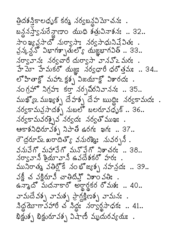త్రిదశన్తికాలధృక్ కర్మ నర్వబన్ధవిమోచనః . బన్దనస్త్వానురేన్దాణాం యుధి శత్రువినాశనః .. 32.. సాంఖ్య వ్రసాదో నుర్వాసాః నర్వసాధునివే్ వితః .  $25/25$   $32/25$   $33/25$   $33/25$   $33/25$   $33/25$   $33/25$ నర్వావాన: నర్వచారీ దుర్వాసా వానవొఽమర: . హే మో హేమకరో యజ్ఞు: నర్వధారీ ధరోత్తమః .. 34.. లో హితాక్ట్ మహాఒ క్షశ్చ విజయాక్ట్ విశారద:. నంగ్రహొ నిగ్రహః కర్తా నర్చబీరనివాననః .. 35.. ముఖ్యా ముఖ్యశ్చ దేహశ్చ దేహ ఋద్ది: నర్వకామద: . నర్వకామవైసాదశ్భ నుబలో బలరూవధృక్.. 36.. నర్వకామవరక్సైవ నర్వదః నర్వతోముఖః  $-37.8$ రౌద్దరూ ప్ౖ ఖరాదిత్యొ వనురఖ్యిః నువర్చనీ. వనువేగో మహావేగో మనోవేగో నిశాచరః .. 38.. నర్వా నీ శ్రీయావానీ ఉవదేశకరో హర: . మునిరాత్మ వతిర్లోకే నంభోజ్యత్ప నహన్రద: .. 39.. వక్ష్ చ వక్షిరూవీ చాతిదివ్తో విశాం వతి: . ఉన్నాదో మదనాకారో అర్థార్థకర రోమశ: .. 40.. వామదేవశ్చ వామశ్చ ప్రాగ్ధక్షిణశ్చ వామనః . నిద్ద మాగా వహారీ చొనిద్ద నర్వార్థ సాధక: .. 41.. బిక్టుక్స బిక్టురూవక్స విషాణీ మృదురవ్యయః.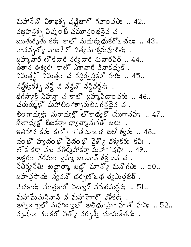మహానెన్ విశాఖశ్చ వ్యభాగ్ గవాం వతి: .. 42.. వజ్రహన్త్భ విష్కం భీ చమూన్తం భనైన చ. ఋతురృతు కర: కాలో మధుర్మధుకరోఽచల: .. 43.. వాననృత్య వాజసేన్ నిత్యమాశ్రమవూజితః బ్రహ్మచారీ లొకచారీ నర్వచారీ నుచారవిత్ .. 44.. ఈశాన ఈశ్వర: కాలో నిశాచారీ వినాకధృక్. నిమిత్తన్లో నిమిత్తం చ నన్లిర్న స్థికరో హరిః .. 45.. నన్లిక్వరశ్చ నన్లో చన్ల ను స్టానర్గని . భగిస్విక్షిప్తా చెక్లో బ్రాశ్రీదాం నర: .. 46.. చతుర్ముఖో మహాలింగశ్చారులింగన్తథైవ చ . లింగాధ్యక్ష: మరాధ్యక్ష్ లొకాధ్యక్ష్ యుగావహా .. 47.. బీజాధ్యక్షో బీజకర్తా2 ధ్యాత్మానుగతో బలః ఇతిహాన కరః కల్`, గౌతమోఽథ జలే శ్వరః .. 48.. దంభో హ్యదంభో వైదంభో వైశ్యో వశ్యకర: కవి: . లోక కర్తా వఖ వతిర్మహాకర్తా మహాౌషధి: .. 49.. అక్షరం వరమం బ్రహ్మ బలవాన్ శక్ర వ చవ  $\mathfrak{J} \partial \mathfrak{S}$ g  $\mathfrak{S} \partial \mathfrak{S}$  agr $\mathfrak{S}$  agr $\mathfrak{S}$  agr $\mathfrak{S}$  agr $\mathfrak{S}$  agr $\mathfrak{S}$  agric  $\mathfrak{S}$  .  $\mathfrak{S}$ బహచ్ాాన: స్వవన్ దర్చణ్~ థ త్యమిత్రజిత్ .  $3$ దకార: నూత్రకారో విద్యాన్ నమరమర్ధన: .. 51.. మహా పేు ఘనివానీ చ మహా ఘోరో వశీకర్య అగ్నిజ్వాలో మహాజ్వాలో అతిధూమో హతో హవి: .. 52.. వృషణ: శంకరో నిత్య వర్సశ్వ ధూమకేతన: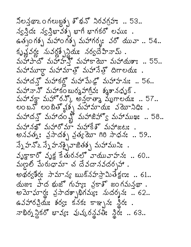నిలన్తథా 20 గలుబ్దక్న శ్రీశన్ల నిరవగ్రహ .. 53.. న్వన్లైద: న్వస్త్రిభావశ్చ భాగీ భాగకర్ లఘు: . ఉత్పంగశ్న మహాంగశ్న మహాగర్భ: వరో యువా .. 54.. కృష్ణవర్ల: నువర్లత్పేన్లియ: నర్వదేహినామ్. మహాపాదో మహాహన్లో మహాకాయో మహాయశాః .. 55.. మహామూర్దా మహామాత్తో మహానేత్తో దిగాలయః. మహాదన్తో మహాకర్లో మహామేథో మహాహనుః.. 56.. మహానాన్ మహాకం బుర్మహాగ్రవ: శ్మశానధృక్. మహావక్షా మహొరన్కో అన్తరాత్మా మృగాలయః.. 57.. లంబన్ లంబిత్వశ్న మహామాయః వెయోనిధి:. మహాదన్తో మహాదం శ్రీ మహాజిహ్యో మహాముఖః .. 58.. మహానఖొ మహారొమా మహాకేశొ మహాజటః . అనవత్స్: వ్రసాదశ్చ వ్రత్య సాధి సాధన: .. 59.. న్నేహన్2 న్నేహనక్సైవాజితక్స మహాముని: . వృక్షాకారో వృక్ష కేతురనలో వాయువాహన: .. 60.. మణైలీ పేురుధామా చ దేవదానవదర్శహా . అథర్వశీర్షః సామాన్య ఋక్నహస్రామితేక్షణః .. 61.. యజు: హేద భుజో గుహ్య: వ్రకాశో జంగమన్తథా. అమోఘార్ణ: వ్రసాదశ్చాభిగమ్యః నుదర్శనః .. 62.. ఉవహారవ్రియేః శర్య: కనక: కాఞ్చన: న్థిర: . నాభిర్న స్థికరో భావ్యః వుష్కరన్థవతిః న్థీరః .. 63..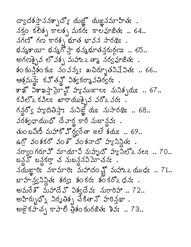ద్వాదశస్తాననశ్చాద్యో యజ్ఞో యజ్ఞనమాహితః .  $\lambda$ క్తం కలెక్న కాలక్న మకర: కాలవూజిత: .. 64..  $\lambda$ ที่ยังกับ สาของ สังครับ สายอะ. భవ్మశాయీ భవ్మగో ప్తా భవ్మభూతన్తరుర్గణః .. 65.. అగణక్సైవ లో వశ్చ మహాఽఒ తా వర్వవూజితఃు. <u> శం కున్తి</u>శం కుః నం వన్నః బచిర్భూతనివే వితః .. 66.. ఆశ్రమన్లో కవ్తన్లో విశ్వకర్మావతిర్వరః. కాఖ్ ఏకాఖస్తా మ్హో హ్యముజాల: నునిక్చమ: .. 67..  $s30°$ 2 $s30$ :  $\arctan 20°$   $\arctan 20°$   $\arctan 20°$ గన్లలో హూదితిస్తా: నువిజ్ఞే య: నుసారథి: .. 68.. వరశ్వధాయుధో దేవార్థ కారీ నుబాన్లవు: . తుంబవిణీ మహాకో హిర్యరేతా జలే శయ: .. 69.. ఉగ్ర వంశకరో వం శోవంశనాదో హృనిన్లు . నర్వాం గరూ హ్ మాయావి నుహృదో హ్యానిలో≥ నలః .. 70.. బన్దనొ బన్దకర్తా చ నుబన్దనవిమోచనః నమజ్ఞారి: నకామారి: మహాదం న్లో మహాఽఽయుధ: .. 71.. బాహచ్వనిన్లక: శర్య: శంకర: శంకర్ౖాధన: . అమరేశో మహాదేవో విశ్వదేవః నురారిహా .. 72.. అహిర్బుధ్నో నిరృతిశ్చ చేకితాన్ హరిన్తథా. అజై కపాచ్చ కాపాలి త్రిశం కురజిత: శివ: .. 73..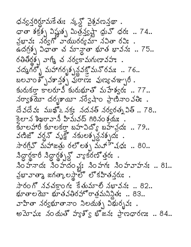ధన్వన్లర్లూమకేతుః న్కన్డ్ వైశ్రవణన్తథా. ధాతా శక్రశ్చ విష్ణుశ్చ మిత్ర వ్యక్షా ధ్రువొ ధరః .. 74.. వ్రఖావ: నర్వగో వాయురర్యమా నవితా రవి: . ఉదగ్రకృ విధాతా చ మాన్లా భూత భావనః .. 75.. రతితీర్లక్న వాగ్మీ చ నర్వకామగుణావహః . వద్మగర్భ మహాగరృశ్చన్నక్తో మనోరమః .. 76.. బలవాం శ్ృవశాన్ను ప్రాణం పుణ్య జుల్బారీ. కురుకరా కాలరూవీ కురుభూతో మహేశ్వర: .. 77..  $\pi$   $\frac{1}{2}$   $\pi$   $\frac{1}{2}$   $\pi$   $\frac{1}{2}$   $\pi$   $\frac{1}{2}$   $\pi$   $\frac{1}{2}$   $\pi$   $\frac{1}{2}$   $\pi$   $\frac{1}{2}$   $\pi$   $\frac{1}{2}$   $\pi$   $\frac{1}{2}$   $\pi$   $\frac{1}{2}$   $\pi$   $\frac{1}{2}$   $\pi$   $\frac{1}{2}$   $\pi$   $\frac{1}{2}$   $\pi$   $\frac{1}{2}$   $\pi$   $\frac{1}{$ దేవదేవ: ముఖ్ఒనక: నదనత్ నర్వరత్న విత్.. 78.. కెలాన శిఖరావానీ హిమవద్ గిరినంశ్రమః కూలహారీ కూలకరాౖ బహువిద్యో బహువ్రుః .. 79.. వణిజో వర్ధనో వృక్ష్ నకులకృశ్వశృదః. సారగ్రివొ మహాజత్రు రలొలక్న మహా షధ: .. 80.. నిద్దార్థకారీ నిద్దార్థ్బన్లో వ్యాకరణ్ త్తరః.  $30$  హనాదః నింహదం న్హః నింహగః నింహనాహనః .. 81.. ที่ยามอริ หมองครั้ง อารุริมอุที่จะ. సారంగో నవచక్రాంగ: కేతుమాలో నభావన: .. 82.. భూతాల యో భూతవతిరహోరాత్రమనిన్దితః.. 83.. వాహితా నర్వభూతానా౦ నిలయశ్చ విభుర్భవః అమోఘ: నందుతో హూశ్వ భోజన: ప్రాధారణ: .. 84..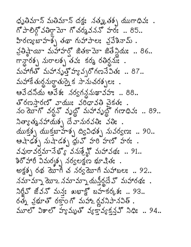ధృతిమాన్ మతిమాన్ దక్షః నత్మ, తక్స యుగాధివః . గో పాలిర్గో వతిర్వా గో చర్మవనన్ హరః .. 85.. వ్రతిష్ణాయీ మహాహర్తో జితకామో జితేన్లియః .. 86.. గాన్దారశ్చ మరాలశ్చ తవ: కర్మ రతిర్ధమ: .  $\Delta$ పోగీతో మహానృత్త హృవృరోగణనేవితః.. 87.. మహాకే తుర్ధనుర్ధాతుర్నైక సానుచరశ్చలః ఆవేదనియ ఆవేశ: నర్వగన్దనుఖావహ: .. 88.. తోరణసారణో వాయు: వరిధావతి చెకత: నం మోగో వర్ధనో వృద్ధో మహావృద్ధో గణాధివః .. 89..  $\lambda$ త్యాత్మనహాయశ్చ దేవానురవతి: వతి:.  $\frac{1}{2}$   $\frac{1}{2}$   $\frac{1}{2}$   $\frac{1}{2}$   $\frac{1}{2}$   $\frac{1}{2}$   $\frac{1}{2}$   $\frac{1}{2}$   $\frac{1}{2}$   $\frac{1}{2}$   $\frac{1}{2}$   $\frac{1}{2}$   $\frac{1}{2}$   $\frac{1}{2}$   $\frac{1}{2}$   $\frac{1}{2}$   $\frac{1}{2}$   $\frac{1}{2}$   $\frac{1}{2}$   $\frac{1}{2}$   $\frac{1}{2}$   $\frac{1}{2}$  ఆషాఢశ్న నుషాడశ్న ధున్ హరి హణో హరః. వవురావర్తమానేభ్యొ వనుశ్రేష్ణో మహావథః .. 91.. శిరోహారీ విమర్శక్న నర్వలక్షణ భూషితః . అక్షశ్చ రథ మోగీ చ నర్వమోగీ మహాబలః .. 92.. నమామ్నా యోఒ నమామ్నా యన్తీర్ధదే వొ మహారథః . నిర్లీన్ జీవన్ మన్య ఖభాక్ట్లో బహకర్కుశ్ .. 93.. రత్న వ్రభూతో రక్తాంగో మహాఽర్లవనిపానవిత్ . మూలో విశాలో హూమృతో వూక్తావూకన్ని నిధి: .. 94..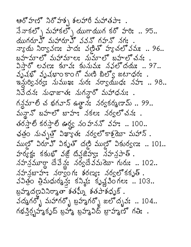ఆరోహణో నిరోహశ్చ శలహారీ మహాతపాః.  $3\pi$ కల్ని మహాకల్ని యుగాయుగ కర్ హరి: .. 95.. యుగరూ హ్ మహారూ హ్ వవన్ గహన్ నగః . న్యాయ నిర్వావణ: పాద: వణితో హూచలో వమ: .. 96.. బహచూలో మహామాలః నుమాలో బహలోచనః . విస్తారో లవణ: కూవ: కునుమ: నవలోదయ: .. 97..  $3.348$ ో వృషభాంకాంగో మణి బిల్యో జటాధర:. ఇమ్లరికైనర్యః నుముఖః నురః నర్యాయుధః నహః .. 98.. నివేదన: నుధాజాత: నుగన్లారో మహాధను: .  $A \times S$   $\rightarrow$  99.. మన్లైన్ బహల్లో బాహు: నకల: నర్వల్లో చన:. తరస్తాలి కరస్తాలి ఊర్ధ్య నంహననొ వహః .. 100.. భత్రం నుచ్చత్తో విఖ్యాత: నర్వల్లో కాశ్రమా మహాన్. ముల్లో విరూఎో వికృతో దట్టి ముల్లో వికుర్యణ: .. 101.. హర్యక్త: కకుభో వజ్లో దివజిహ్య: నహనపాత్.  $\Delta$ హన్రమూర్థా దేవేన్డం నర్వదే నేమయో గురు: .. 102.. నహన్రబాహు: నర్వాం గ: శరణ్య: నర్వలో కకృత్. వవిత్రం త్రిమధుర్మశ్త్రే: కనిష్ఠ: కృష్ణవింగల: .. 103.. బ్రహుదణవినిరాంతా శతఘ్న శతపాశధృక్. వద్మగర్భ మహాగర్భ బ్రామైగర్భ జలోదృవ: .. 104.. గభన్త్చిహ్మకృద్ బ్రహ్మ బ్రహ్మవిద్ బ్రాహ్మహ్<sup>థ</sup> గతి: .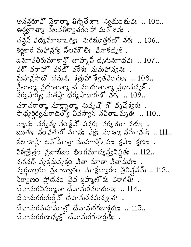అనన్తరూఎో నైకాత్మా తిగ్మతేజాః న్వయం భువః .. 105.. ఊర్దగాత్మా వేఖవతిర్వాతరం హా మనోజవః చన్ల వద్మమాలాఽగ్యః మరభ్యుత్తరణో నరః .. 106.. కర్ణకార మహాన్రగ్య నిలమౌలి: వినాకధృక్. ఉమావతిరుమాకాన్ల జాహృ విధృగుమాధవ: .. 107.. వరో వరాహో వరదో వరేశ: నుమహాన్వస: . మహానసాదో దమన: శత్రుహా శ్వేతవింగల: .. 108.. వ్రీతాత్మా వ్రయతాత్మా చ నం యతాత్మా వ్రధానధృక్ . నేర్యపార్మ్య నుతస్తా ధర్మసాధారణో వరః .. 109.. చరాచరాత్మా మాక్షాత్మా నువృష్ గో వృషేశ్వరః . సాధ్యర్థిర్వమరాదిత్యో వివస్వాన్ నవితాఽ మృత్య .. 110.. వా, న: నర్వన, నంక్షే ఏన్ల వర్య మా నదు:.  $\frac{1}{2}$ బుతు: నంవత్వ స్ మాన: వేక్ష: నంఖా నమావన: .. 111.. కలాకాష్ట్య మాత్ర ముహార్తో2 హా క్షపా: క్షణా: . విశ్వక్షేత్రం వ్రజాటీజం లింగమాద్యన్యనిన్థిత: .. 112.. నదనద్ వ్యక్తమవ్యకం వితా మాతా వితామహః న్వర్గద్వారం వ్రజాద్వారం మోక్షద్వారం త్రివిష్ణవమ్ .. 113.. నిర్వాణం హ్ణాదనం చైన బ్రహ్మలోకః వరాగతిః .  $\vec{\omega}$  వానురవినిర్మాతా దేవానురవరాయణ: .. 114.. దే వానురగురుర్తేవొ దేవానురనమన్మ, తః. దేవానురమహామాత్రో దేవానురగణాశ్రమ .. 115.. దే వానురగణాధ్యక్ష్తో దేవానురగణాగణీ: .